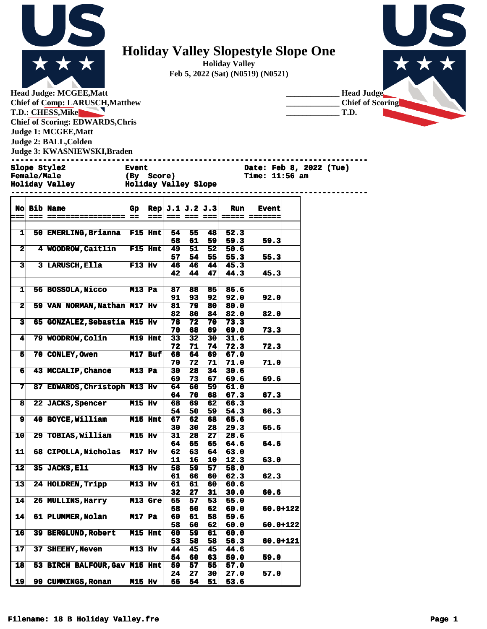

## **Holiday Valley Slopestyle Slope One**

**Holiday Valley Feb 5, 2022 (Sat) (N0519) (N0521)**



**Head Judge: MCGEE,Matt Chief of Comp: LARUSCH,Matthew T.D.: CHESS,Mike**  $\blacktriangleright$ **Chief of Scoring: EDWARDS,Chris Judge 1: MCGEE,Matt Judge 2: BALL,Colden Judge 3: KWASNIEWSKI,Braden** 



**Slope Style2 Event Date: Feb 8, 2022 (Tue)**

| <b>Female/Male</b>    | (By Score)           | <b>Time: 11:56 am</b> |  |
|-----------------------|----------------------|-----------------------|--|
| <b>Holiday Valley</b> | Holiday Valley Slope |                       |  |
|                       |                      |                       |  |

|                         | <b>No Bib Name</b>            | Gp.           |         | Rep $J.1 J.2 J.3$ |    |                 | <b>Run</b> | <b>Event</b> |  |
|-------------------------|-------------------------------|---------------|---------|-------------------|----|-----------------|------------|--------------|--|
| i = =                   |                               |               | $==$    |                   |    |                 |            |              |  |
|                         |                               |               |         |                   |    |                 |            |              |  |
| ᅬ                       | 50 EMERLING, Brianna F15 Hmt  |               |         | 54.               | 55 | 481             | 52.3       |              |  |
|                         |                               |               |         | 58                | 61 | 59              | 59.3       | 59.3         |  |
| $\mathbf{2}$            | 4 WOODROW, Caitlin F15 Hmt    |               |         | 49                | 51 |                 |            |              |  |
|                         |                               |               |         |                   |    | 52              | 50.6       |              |  |
|                         |                               |               |         | 57                | 54 | 55              | 55.3       | 55.3         |  |
| 3 <sup>1</sup>          | <b>3 LARUSCH, Ella</b>        | $F13$ Hv      |         | 46                | 46 | 44              | 45.3       |              |  |
|                         |                               |               |         | 42                | 44 | 47              | 44.3       | 45.3         |  |
|                         |                               |               |         |                   |    |                 |            |              |  |
| $\mathbf{1}$            | 56 BOSSOLA, Nicco M13 Pa      |               |         | 87                | 88 | 85              | 86.6       |              |  |
|                         |                               |               |         | 91                | 93 | 92              | 92.0       | 92.0         |  |
| $\mathbf{2}$            | 59 VAN NORMAN, Nathan M17 Hv  |               |         | 81                | 79 | 80              | 80.0       |              |  |
|                         |                               |               |         | 82                | 80 | 84              | 82.0       | 82.0         |  |
| $\overline{\mathbf{3}}$ | 65 GONZALEZ, Sebastia M15 Hv  |               |         | 78                | 72 | 70              | 73.3       |              |  |
|                         |                               |               |         | 70                | 68 | 69              | 69.0       | 73.3         |  |
| $\mathbf{4}$            | 79 WOODROW, Colin M19 Hmt     |               |         | 33                | 32 | 30              | 31.6       |              |  |
|                         |                               |               |         |                   |    |                 |            |              |  |
|                         |                               |               |         | 72                | 71 | 74              | 72.3       | 72.3         |  |
| 5                       | 70 CONLEY, Owen M17 Buf       |               |         | 68                | 64 | 69              | 67.0       |              |  |
|                         |                               |               |         | 70                | 72 | 71              | 71.0       | 71.0         |  |
| 6 <sup>1</sup>          | 43 MCCALIP, Chance M13 Pa     |               |         | 30                | 28 | 34              | 30.6       |              |  |
|                         |                               |               |         | 69                | 73 | 67              | 69.6       | 69.6         |  |
| 7 <sup>1</sup>          | 87 EDWARDS, Christoph M13 Hv  |               |         | 64                | 60 | 59              | 61.0       |              |  |
|                         |                               |               |         | 64                | 70 | 68              | 67.3       | 67.3         |  |
| 8                       | <b>22 JACKS, Spencer</b>      | <b>M15 Hv</b> |         | 68                | 69 | 62              | 66.3       |              |  |
|                         |                               |               |         | 54                | 50 | 59              | 54.3       | 66.3         |  |
| 9                       | 40 BOYCE, William M15 Hmt     |               |         | 67                | 62 | 68              | 65.6       |              |  |
|                         |                               |               |         |                   |    |                 |            |              |  |
|                         |                               |               |         | 30                | 30 | 28 <sub>1</sub> | 29.3       | 65.6         |  |
| 10                      | 29 TOBIAS, William M15 Hv     |               |         | 31                | 28 | 27              | 28.6       |              |  |
|                         |                               |               |         | 64                | 65 | 65              | 64.6       | 64.6         |  |
| 11                      | 68 CIPOLLA, Nicholas M17 Hv   |               |         | 62                | 63 | 64              | 63.0       |              |  |
|                         |                               |               |         | 11                | 16 | 10              | 12.3       | 63.0         |  |
| 12                      | 35 JACKS, Eli M13 Hv          |               |         | 58                | 59 | 57              | 58.0       |              |  |
|                         |                               |               |         | 61                | 66 | 60              | 62.3       | 62.3         |  |
| 13                      | 24 HOLDREN, Tripp M13 Hv      |               |         | 61                | 61 | 60              | 60.6       |              |  |
|                         |                               |               |         | 32                | 27 | 31              | 30.0       | 60.6         |  |
| 14                      | <b>26 MULLINS, Harry</b>      |               | M13 Gre | 55                | 57 | 53              | 55.0       |              |  |
|                         |                               |               |         | 58                | 60 | 62              | 60.0       | $60.0 + 122$ |  |
|                         |                               |               |         |                   |    |                 |            |              |  |
| 14                      | <b>61 PLUMMER, Nolan</b>      | <b>M17 Pa</b> |         | 60                | 61 | 58              | 59.6       |              |  |
|                         |                               |               |         | 58                | 60 | 62              | 60.0       | 60.0+122     |  |
| 16 <sup>l</sup>         | 39 BERGLUND, Robert M15 Hmt   |               |         | 60                | 59 | 61              | 60.0       |              |  |
|                         |                               |               |         | 53                | 58 | 58              | 56.3       | $60.0 + 121$ |  |
| 17 <sup>1</sup>         | 37 SHEEHY, Neven M13 Hv       |               |         | 44                | 45 | 45              | 44.6       |              |  |
|                         |                               |               |         | 54                | 60 | 631             | 59.0       | 59.0         |  |
| 18 <sup>l</sup>         | 53 BIRCH BALFOUR, Gav M15 Hmt |               |         | 59                | 57 | 55              | 57.0       |              |  |
|                         |                               |               |         | 24                | 27 | 30              | 27.0       | 57.0         |  |
| 19                      | <b>99 CUMMINGS, Ronan</b>     | <b>M15 Hv</b> |         | 56                | 54 | 51              | 53.6       |              |  |
|                         |                               |               |         |                   |    |                 |            |              |  |

## **Filename: 18 B Holiday Valley.fre Page 1**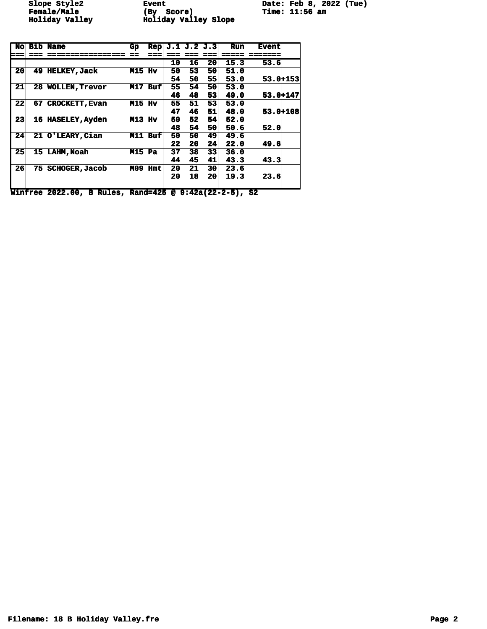**Female/Male (By Score) Time: 11:56 am Holiday Valley Holiday Valley Slope** 

Slope Style2 **Event** Event Date: Feb 8, 2022 (Tue)<br> **Female/Male** (By Score) Time: 11:56 am

| <b>No</b> |    | <b>Bib Name</b>       | Gp            | <b>Rep</b> |    | J.1 J.2 J.3 |                 | <b>Run</b> | <b>Event</b> |  |
|-----------|----|-----------------------|---------------|------------|----|-------------|-----------------|------------|--------------|--|
| ===       |    |                       |               |            |    |             |                 |            |              |  |
|           |    |                       |               |            | 10 | 16          | 20 <sub>l</sub> | 15.3       | 53.6         |  |
| 20        | 49 | <b>HELKEY, Jack</b>   | <b>M15 Hv</b> |            | 50 | 53          | 50              | 51.0       |              |  |
|           |    |                       |               |            | 54 | 50          | 55              | 53.0       | 53.0+153     |  |
| 21        |    | 28 WOLLEN, Trevor     | M17           | <b>Buf</b> | 55 | 54          | 50              | 53.0       |              |  |
|           |    |                       |               |            | 46 | 48          | 53              | 49.0       | 53.0+147     |  |
| 22        | 67 | <b>CROCKETT, Evan</b> | <b>M15 Hv</b> |            | 55 | 51          | 53              | 53.0       |              |  |
|           |    |                       |               |            | 47 | 46          | 51              | 48.0       | 53.0+108     |  |
| 23        |    | 16 HASELEY, Ayden     | M13 Hv        |            | 50 | 52          | 54              | 52.0       |              |  |
|           |    |                       |               |            | 48 | 54          | 50              | 50.6       | 52.0         |  |
| 24        |    | 21 O'LEARY, Cian      |               | M11 Buf    | 50 | 50          | 49              | 49.6       |              |  |
|           |    |                       |               |            | 22 | 20          | 24              | 22.0       | 49.6         |  |
| 25        |    | 15 LAHM, Noah         | <b>M15 Pa</b> |            | 37 | 38          | 33              | 36.0       |              |  |
|           |    |                       |               |            | 44 | 45          | 41              | 43.3       | 43.3         |  |
| 26        | 75 | <b>SCHOGER, Jacob</b> | MO9           | <b>Hmt</b> | 20 | 21          | 30 <sup>°</sup> | 23.6       |              |  |
|           |    |                       |               |            | 20 | 18          | 20              | 19.3       | 23.6         |  |
|           |    |                       |               |            |    |             |                 |            |              |  |

**Winfree 2022.00, B Rules, Rand=425 @ 9:42a(22-2-5), S2**